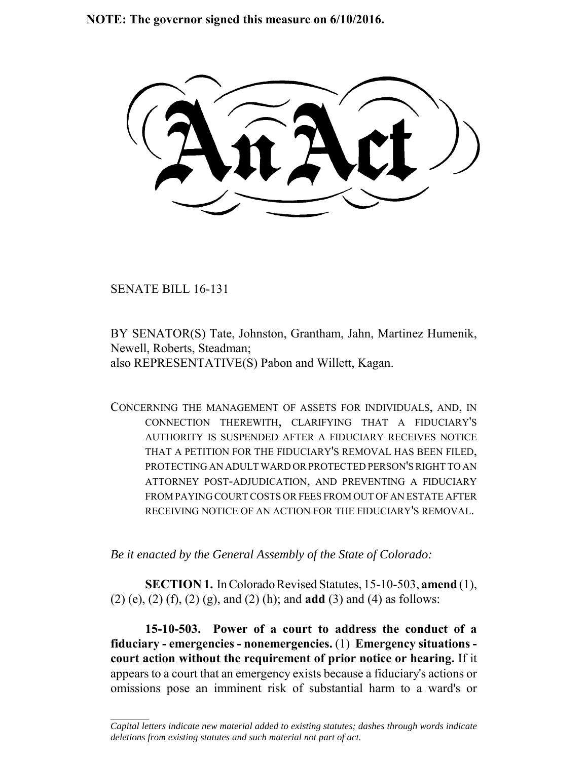**NOTE: The governor signed this measure on 6/10/2016.**

SENATE BILL 16-131

 $\frac{1}{2}$ 

BY SENATOR(S) Tate, Johnston, Grantham, Jahn, Martinez Humenik, Newell, Roberts, Steadman; also REPRESENTATIVE(S) Pabon and Willett, Kagan.

CONCERNING THE MANAGEMENT OF ASSETS FOR INDIVIDUALS, AND, IN CONNECTION THEREWITH, CLARIFYING THAT A FIDUCIARY'S AUTHORITY IS SUSPENDED AFTER A FIDUCIARY RECEIVES NOTICE THAT A PETITION FOR THE FIDUCIARY'S REMOVAL HAS BEEN FILED, PROTECTING AN ADULT WARD OR PROTECTED PERSON'S RIGHT TO AN ATTORNEY POST-ADJUDICATION, AND PREVENTING A FIDUCIARY FROM PAYING COURT COSTS OR FEES FROM OUT OF AN ESTATE AFTER RECEIVING NOTICE OF AN ACTION FOR THE FIDUCIARY'S REMOVAL.

*Be it enacted by the General Assembly of the State of Colorado:*

**SECTION 1.** In Colorado Revised Statutes, 15-10-503, **amend** (1), (2) (e), (2) (f), (2) (g), and (2) (h); and **add** (3) and (4) as follows:

**15-10-503. Power of a court to address the conduct of a fiduciary - emergencies - nonemergencies.** (1) **Emergency situations court action without the requirement of prior notice or hearing.** If it appears to a court that an emergency exists because a fiduciary's actions or omissions pose an imminent risk of substantial harm to a ward's or

*Capital letters indicate new material added to existing statutes; dashes through words indicate deletions from existing statutes and such material not part of act.*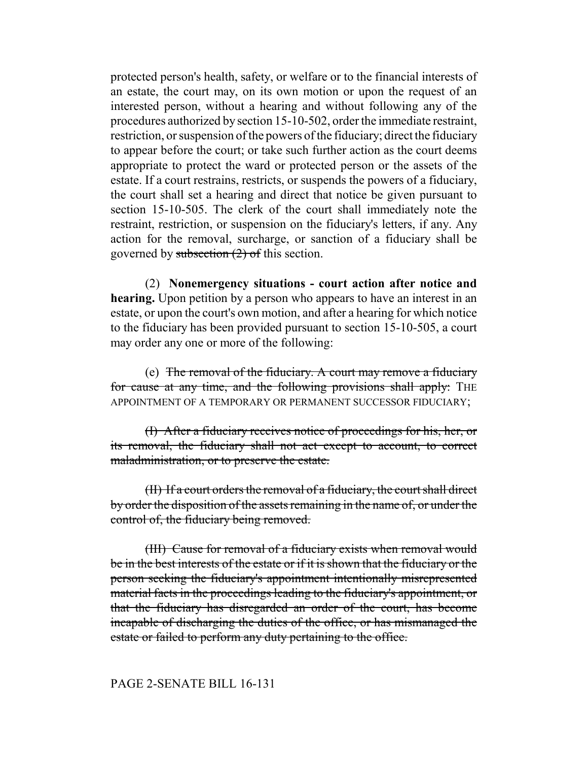protected person's health, safety, or welfare or to the financial interests of an estate, the court may, on its own motion or upon the request of an interested person, without a hearing and without following any of the procedures authorized by section 15-10-502, order the immediate restraint, restriction, or suspension of the powers of the fiduciary; direct the fiduciary to appear before the court; or take such further action as the court deems appropriate to protect the ward or protected person or the assets of the estate. If a court restrains, restricts, or suspends the powers of a fiduciary, the court shall set a hearing and direct that notice be given pursuant to section 15-10-505. The clerk of the court shall immediately note the restraint, restriction, or suspension on the fiduciary's letters, if any. Any action for the removal, surcharge, or sanction of a fiduciary shall be governed by subsection  $(2)$  of this section.

(2) **Nonemergency situations - court action after notice and hearing.** Upon petition by a person who appears to have an interest in an estate, or upon the court's own motion, and after a hearing for which notice to the fiduciary has been provided pursuant to section 15-10-505, a court may order any one or more of the following:

(e) The removal of the fiduciary. A court may remove a fiduciary for cause at any time, and the following provisions shall apply: THE APPOINTMENT OF A TEMPORARY OR PERMANENT SUCCESSOR FIDUCIARY;

(I) After a fiduciary receives notice of proceedings for his, her, or its removal, the fiduciary shall not act except to account, to correct maladministration, or to preserve the estate.

(II) If a court orders the removal of a fiduciary, the court shall direct by order the disposition of the assets remaining in the name of, or under the control of, the fiduciary being removed.

(III) Cause for removal of a fiduciary exists when removal would be in the best interests of the estate or if it is shown that the fiduciary or the person seeking the fiduciary's appointment intentionally misrepresented material facts in the proceedings leading to the fiduciary's appointment, or that the fiduciary has disregarded an order of the court, has become incapable of discharging the duties of the office, or has mismanaged the estate or failed to perform any duty pertaining to the office.

#### PAGE 2-SENATE BILL 16-131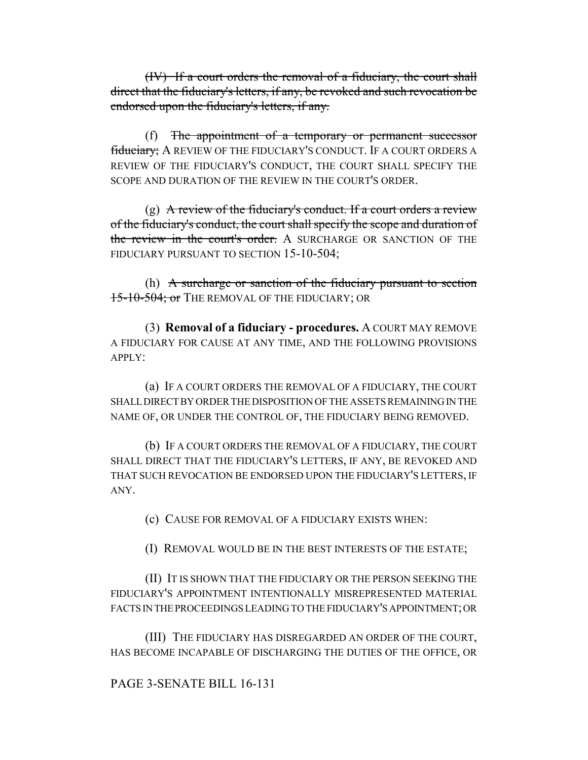(IV) If a court orders the removal of a fiduciary, the court shall direct that the fiduciary's letters, if any, be revoked and such revocation be endorsed upon the fiduciary's letters, if any.

(f) The appointment of a temporary or permanent successor fiduciary; A REVIEW OF THE FIDUCIARY'S CONDUCT. IF A COURT ORDERS A REVIEW OF THE FIDUCIARY'S CONDUCT, THE COURT SHALL SPECIFY THE SCOPE AND DURATION OF THE REVIEW IN THE COURT'S ORDER.

(g) A review of the fiduciary's conduct. If a court orders a review of the fiduciary's conduct, the court shall specify the scope and duration of the review in the court's order. A SURCHARGE OR SANCTION OF THE FIDUCIARY PURSUANT TO SECTION 15-10-504;

(h) A surcharge or sanction of the fiduciary pursuant to section 15-10-504; of THE REMOVAL OF THE FIDUCIARY; OR

(3) **Removal of a fiduciary - procedures.** A COURT MAY REMOVE A FIDUCIARY FOR CAUSE AT ANY TIME, AND THE FOLLOWING PROVISIONS APPLY:

(a) IF A COURT ORDERS THE REMOVAL OF A FIDUCIARY, THE COURT SHALL DIRECT BY ORDER THE DISPOSITION OF THE ASSETS REMAINING IN THE NAME OF, OR UNDER THE CONTROL OF, THE FIDUCIARY BEING REMOVED.

(b) IF A COURT ORDERS THE REMOVAL OF A FIDUCIARY, THE COURT SHALL DIRECT THAT THE FIDUCIARY'S LETTERS, IF ANY, BE REVOKED AND THAT SUCH REVOCATION BE ENDORSED UPON THE FIDUCIARY'S LETTERS, IF ANY.

(c) CAUSE FOR REMOVAL OF A FIDUCIARY EXISTS WHEN:

(I) REMOVAL WOULD BE IN THE BEST INTERESTS OF THE ESTATE;

(II) IT IS SHOWN THAT THE FIDUCIARY OR THE PERSON SEEKING THE FIDUCIARY'S APPOINTMENT INTENTIONALLY MISREPRESENTED MATERIAL FACTS IN THE PROCEEDINGS LEADING TO THE FIDUCIARY'S APPOINTMENT; OR

(III) THE FIDUCIARY HAS DISREGARDED AN ORDER OF THE COURT, HAS BECOME INCAPABLE OF DISCHARGING THE DUTIES OF THE OFFICE, OR

# PAGE 3-SENATE BILL 16-131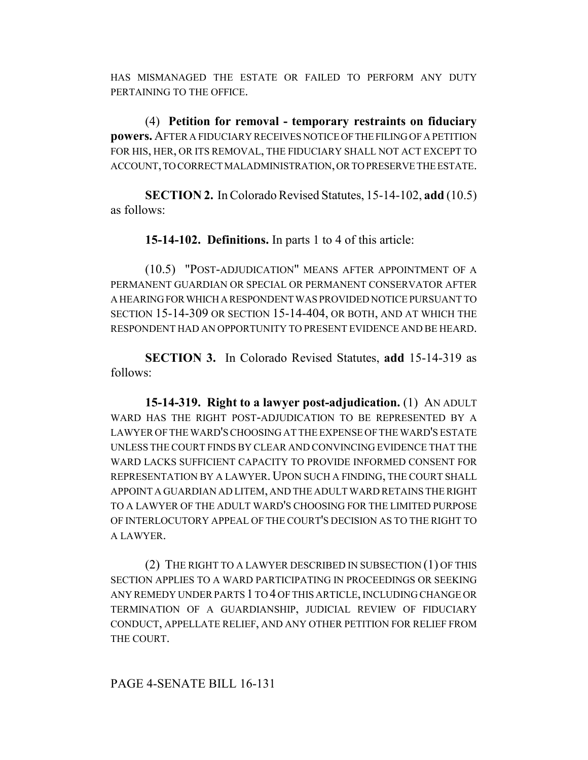HAS MISMANAGED THE ESTATE OR FAILED TO PERFORM ANY DUTY PERTAINING TO THE OFFICE.

(4) **Petition for removal - temporary restraints on fiduciary powers.** AFTER A FIDUCIARY RECEIVES NOTICE OF THE FILING OF A PETITION FOR HIS, HER, OR ITS REMOVAL, THE FIDUCIARY SHALL NOT ACT EXCEPT TO ACCOUNT, TO CORRECT MALADMINISTRATION, OR TO PRESERVE THE ESTATE.

**SECTION 2.** In Colorado Revised Statutes, 15-14-102, **add** (10.5) as follows:

**15-14-102. Definitions.** In parts 1 to 4 of this article:

(10.5) "POST-ADJUDICATION" MEANS AFTER APPOINTMENT OF A PERMANENT GUARDIAN OR SPECIAL OR PERMANENT CONSERVATOR AFTER A HEARING FOR WHICH A RESPONDENT WAS PROVIDED NOTICE PURSUANT TO SECTION 15-14-309 OR SECTION 15-14-404, OR BOTH, AND AT WHICH THE RESPONDENT HAD AN OPPORTUNITY TO PRESENT EVIDENCE AND BE HEARD.

**SECTION 3.** In Colorado Revised Statutes, **add** 15-14-319 as follows:

**15-14-319. Right to a lawyer post-adjudication.** (1) AN ADULT WARD HAS THE RIGHT POST-ADJUDICATION TO BE REPRESENTED BY A LAWYER OF THE WARD'S CHOOSING AT THE EXPENSE OF THE WARD'S ESTATE UNLESS THE COURT FINDS BY CLEAR AND CONVINCING EVIDENCE THAT THE WARD LACKS SUFFICIENT CAPACITY TO PROVIDE INFORMED CONSENT FOR REPRESENTATION BY A LAWYER. UPON SUCH A FINDING, THE COURT SHALL APPOINT A GUARDIAN AD LITEM, AND THE ADULT WARD RETAINS THE RIGHT TO A LAWYER OF THE ADULT WARD'S CHOOSING FOR THE LIMITED PURPOSE OF INTERLOCUTORY APPEAL OF THE COURT'S DECISION AS TO THE RIGHT TO A LAWYER.

(2) THE RIGHT TO A LAWYER DESCRIBED IN SUBSECTION (1) OF THIS SECTION APPLIES TO A WARD PARTICIPATING IN PROCEEDINGS OR SEEKING ANY REMEDY UNDER PARTS 1 TO 4 OF THIS ARTICLE, INCLUDING CHANGE OR TERMINATION OF A GUARDIANSHIP, JUDICIAL REVIEW OF FIDUCIARY CONDUCT, APPELLATE RELIEF, AND ANY OTHER PETITION FOR RELIEF FROM THE COURT.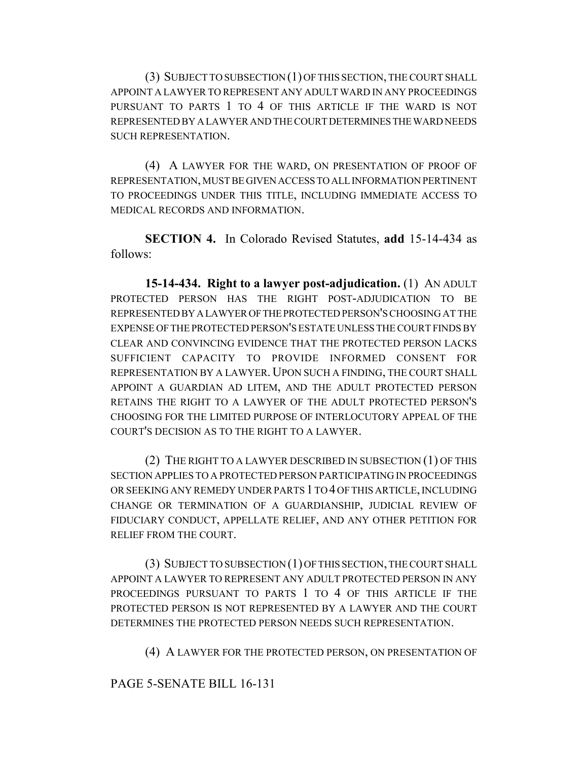(3) SUBJECT TO SUBSECTION (1) OF THIS SECTION, THE COURT SHALL APPOINT A LAWYER TO REPRESENT ANY ADULT WARD IN ANY PROCEEDINGS PURSUANT TO PARTS 1 TO 4 OF THIS ARTICLE IF THE WARD IS NOT REPRESENTED BY A LAWYER AND THE COURT DETERMINES THE WARD NEEDS SUCH REPRESENTATION.

(4) A LAWYER FOR THE WARD, ON PRESENTATION OF PROOF OF REPRESENTATION, MUST BE GIVEN ACCESS TO ALL INFORMATION PERTINENT TO PROCEEDINGS UNDER THIS TITLE, INCLUDING IMMEDIATE ACCESS TO MEDICAL RECORDS AND INFORMATION.

**SECTION 4.** In Colorado Revised Statutes, **add** 15-14-434 as follows:

**15-14-434. Right to a lawyer post-adjudication.** (1) AN ADULT PROTECTED PERSON HAS THE RIGHT POST-ADJUDICATION TO BE REPRESENTED BY A LAWYER OF THE PROTECTED PERSON'S CHOOSING AT THE EXPENSE OF THE PROTECTED PERSON'S ESTATE UNLESS THE COURT FINDS BY CLEAR AND CONVINCING EVIDENCE THAT THE PROTECTED PERSON LACKS SUFFICIENT CAPACITY TO PROVIDE INFORMED CONSENT FOR REPRESENTATION BY A LAWYER. UPON SUCH A FINDING, THE COURT SHALL APPOINT A GUARDIAN AD LITEM, AND THE ADULT PROTECTED PERSON RETAINS THE RIGHT TO A LAWYER OF THE ADULT PROTECTED PERSON'S CHOOSING FOR THE LIMITED PURPOSE OF INTERLOCUTORY APPEAL OF THE COURT'S DECISION AS TO THE RIGHT TO A LAWYER.

(2) THE RIGHT TO A LAWYER DESCRIBED IN SUBSECTION (1) OF THIS SECTION APPLIES TO A PROTECTED PERSON PARTICIPATING IN PROCEEDINGS OR SEEKING ANY REMEDY UNDER PARTS 1 TO 4 OF THIS ARTICLE, INCLUDING CHANGE OR TERMINATION OF A GUARDIANSHIP, JUDICIAL REVIEW OF FIDUCIARY CONDUCT, APPELLATE RELIEF, AND ANY OTHER PETITION FOR RELIEF FROM THE COURT.

(3) SUBJECT TO SUBSECTION (1) OF THIS SECTION, THE COURT SHALL APPOINT A LAWYER TO REPRESENT ANY ADULT PROTECTED PERSON IN ANY PROCEEDINGS PURSUANT TO PARTS 1 TO 4 OF THIS ARTICLE IF THE PROTECTED PERSON IS NOT REPRESENTED BY A LAWYER AND THE COURT DETERMINES THE PROTECTED PERSON NEEDS SUCH REPRESENTATION.

(4) A LAWYER FOR THE PROTECTED PERSON, ON PRESENTATION OF

#### PAGE 5-SENATE BILL 16-131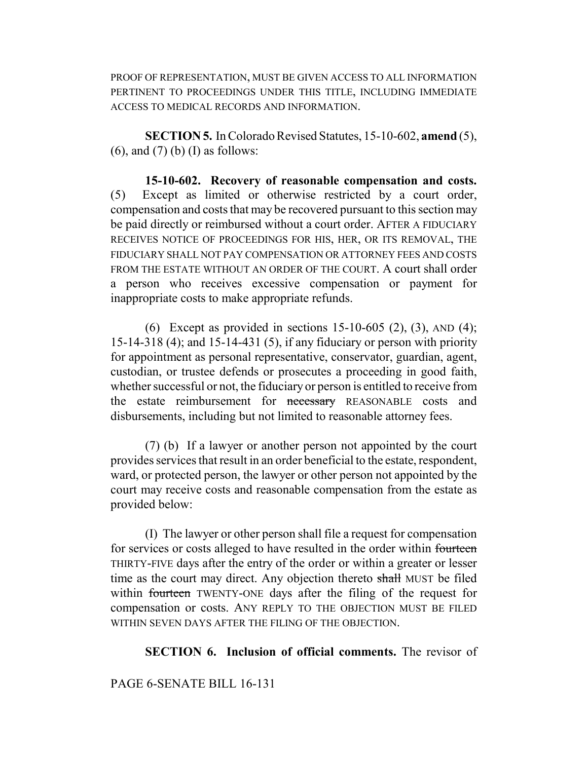PROOF OF REPRESENTATION, MUST BE GIVEN ACCESS TO ALL INFORMATION PERTINENT TO PROCEEDINGS UNDER THIS TITLE, INCLUDING IMMEDIATE ACCESS TO MEDICAL RECORDS AND INFORMATION.

**SECTION 5.** In Colorado Revised Statutes, 15-10-602, **amend** (5),  $(6)$ , and  $(7)$  (b) (I) as follows:

**15-10-602. Recovery of reasonable compensation and costs.** (5) Except as limited or otherwise restricted by a court order, compensation and costs that may be recovered pursuant to this section may be paid directly or reimbursed without a court order. AFTER A FIDUCIARY RECEIVES NOTICE OF PROCEEDINGS FOR HIS, HER, OR ITS REMOVAL, THE FIDUCIARY SHALL NOT PAY COMPENSATION OR ATTORNEY FEES AND COSTS FROM THE ESTATE WITHOUT AN ORDER OF THE COURT. A court shall order a person who receives excessive compensation or payment for inappropriate costs to make appropriate refunds.

(6) Except as provided in sections  $15{\text -}10{\text -}605$  (2), (3), AND (4); 15-14-318 (4); and 15-14-431 (5), if any fiduciary or person with priority for appointment as personal representative, conservator, guardian, agent, custodian, or trustee defends or prosecutes a proceeding in good faith, whether successful or not, the fiduciary or person is entitled to receive from the estate reimbursement for **necessary** REASONABLE costs and disbursements, including but not limited to reasonable attorney fees.

(7) (b) If a lawyer or another person not appointed by the court provides services that result in an order beneficial to the estate, respondent, ward, or protected person, the lawyer or other person not appointed by the court may receive costs and reasonable compensation from the estate as provided below:

(I) The lawyer or other person shall file a request for compensation for services or costs alleged to have resulted in the order within fourteen THIRTY-FIVE days after the entry of the order or within a greater or lesser time as the court may direct. Any objection thereto shall MUST be filed within fourteen TWENTY-ONE days after the filing of the request for compensation or costs. ANY REPLY TO THE OBJECTION MUST BE FILED WITHIN SEVEN DAYS AFTER THE FILING OF THE OBJECTION.

## **SECTION 6. Inclusion of official comments.** The revisor of

## PAGE 6-SENATE BILL 16-131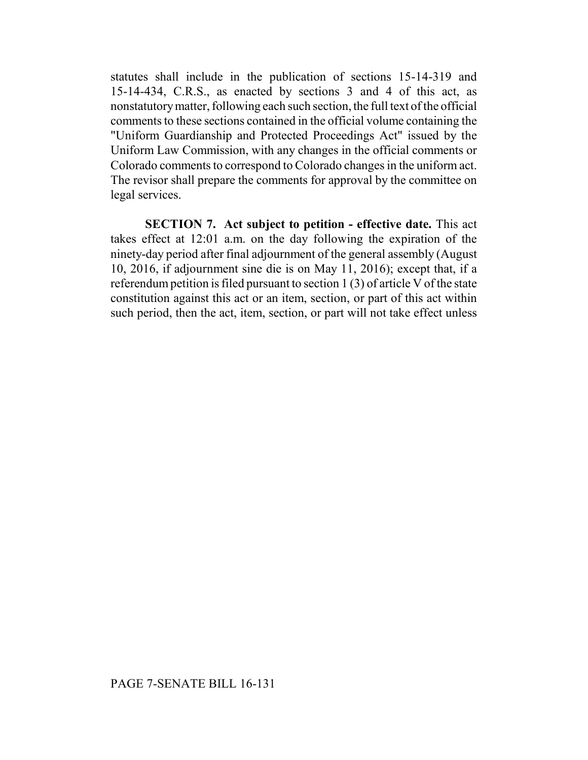statutes shall include in the publication of sections 15-14-319 and 15-14-434, C.R.S., as enacted by sections 3 and 4 of this act, as nonstatutory matter, following each such section, the full text of the official comments to these sections contained in the official volume containing the "Uniform Guardianship and Protected Proceedings Act" issued by the Uniform Law Commission, with any changes in the official comments or Colorado comments to correspond to Colorado changes in the uniform act. The revisor shall prepare the comments for approval by the committee on legal services.

**SECTION 7. Act subject to petition - effective date.** This act takes effect at 12:01 a.m. on the day following the expiration of the ninety-day period after final adjournment of the general assembly (August 10, 2016, if adjournment sine die is on May 11, 2016); except that, if a referendum petition is filed pursuant to section 1 (3) of article V of the state constitution against this act or an item, section, or part of this act within such period, then the act, item, section, or part will not take effect unless